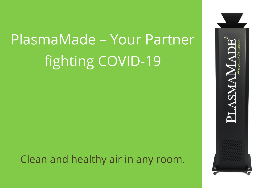# PlasmaMade – Your Partner fighting COVID-19

Clean and healthy air in any room.

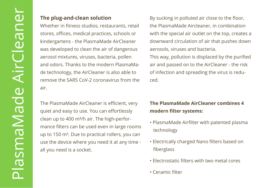#### **The plug-and-clean solution**

Whether in fitness studios, restaurants, retail stores, offices, medical practices, schools or kindergartens - the PlasmaMade AirCleaner was developed to clean the air of dangerous aerosol mixtures, viruses, bacteria, pollen and odors. Thanks to the modern PlasmaMade technology, the AirCleaner is also able to remove the SARS CoV-2 coronavirus from the air.

The PlasmaMade AirCleaner is efficient, very quiet and easy to use. You can effortlessly clean up to 400 m<sup>3</sup>/h air. The high-performance filters can be used even in large rooms up to 150 m². Due to practical rollers, you can use the device where you need it at any time all you need is a socket.

By sucking in polluted air close to the floor, the PlasmaMade Aircleaner, in combination with the special air outlet on the top, creates a downward circulation of air that pushes down aerosols, viruses and bacteria.

This way, pollution is displaced by the purified air and passed on to the AirCleaner - the risk of infection and spreading the virus is reduced.

### **The PlasmaMade AirCleaner combines 4 modern filter systems:**

- PlasmaMade Airfilter with patented plasma technology
- Electrically charged Nano filters based on fiberglass
- Electrostatic filters with two metal cores
- Ceramic filter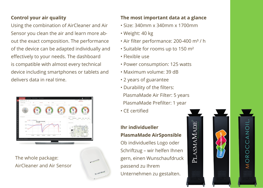#### **Control your air quality**

Using the combination of AirCleaner and Air Sensor you clean the air and learn more about the exact composition. The performance of the device can be adapted individually and effectively to your needs. The dashboard is compatible with almost every technical device including smartphones or tablets and delivers data in real time.



The whole package: AirCleaner and Air Sensor

#### **The most important data at a glance**

- Size: 340mm x 340mm x 1700mm
- Weight: 40 kg
- Air filter performance: 200-400 m<sup>3</sup> / h
- Suitable for rooms up to 150 m²
- Flexible use
- Power consumption: 125 watts
- Maximum volume: 39 dB
- 2 years of guarantee
- Durability of the filters:

PlasmaMade Air Filter: 5 years PlasmaMade Prefilter: 1 year

• CE certified

#### **Ihr individueller PlasmaMade AirSponsible**

Ob individuelles Logo oder Schriftzug – wir helfen Ihnen gern, einen Wunschaufdruck passend zu Ihrem Unternehmen zu gestalten.

**PLASMAMADE** 

MOROCCANOIL